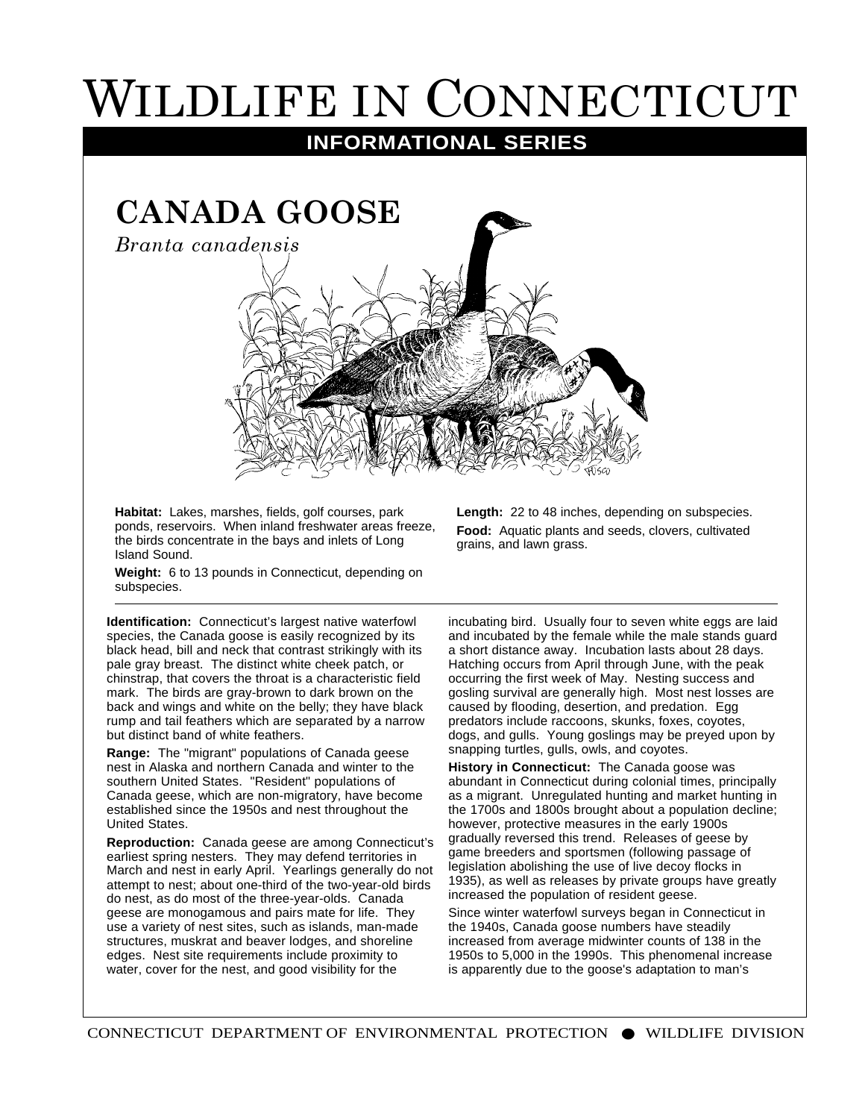## WILDLIFE IN CONNECTICUT

**INFORMATIONAL SERIES**



**Habitat:** Lakes, marshes, fields, golf courses, park ponds, reservoirs. When inland freshwater areas freeze, the birds concentrate in the bays and inlets of Long Island Sound.

**Food:** Aquatic plants and seeds, clovers, cultivated grains, and lawn grass.

**Weight:** 6 to 13 pounds in Connecticut, depending on subspecies.

**Identification:** Connecticut's largest native waterfowl species, the Canada goose is easily recognized by its black head, bill and neck that contrast strikingly with its pale gray breast. The distinct white cheek patch, or chinstrap, that covers the throat is a characteristic field mark. The birds are gray-brown to dark brown on the back and wings and white on the belly; they have black rump and tail feathers which are separated by a narrow but distinct band of white feathers.

**Range:** The "migrant" populations of Canada geese nest in Alaska and northern Canada and winter to the southern United States. "Resident" populations of Canada geese, which are non-migratory, have become established since the 1950s and nest throughout the United States.

**Reproduction:** Canada geese are among Connecticut's earliest spring nesters. They may defend territories in March and nest in early April. Yearlings generally do not attempt to nest; about one-third of the two-year-old birds do nest, as do most of the three-year-olds. Canada geese are monogamous and pairs mate for life. They use a variety of nest sites, such as islands, man-made structures, muskrat and beaver lodges, and shoreline edges. Nest site requirements include proximity to water, cover for the nest, and good visibility for the

incubating bird. Usually four to seven white eggs are laid and incubated by the female while the male stands guard a short distance away. Incubation lasts about 28 days. Hatching occurs from April through June, with the peak occurring the first week of May. Nesting success and gosling survival are generally high. Most nest losses are caused by flooding, desertion, and predation. Egg predators include raccoons, skunks, foxes, coyotes, dogs, and gulls. Young goslings may be preyed upon by snapping turtles, gulls, owls, and coyotes.

**Length:** 22 to 48 inches, depending on subspecies.

**History in Connecticut:** The Canada goose was abundant in Connecticut during colonial times, principally as a migrant. Unregulated hunting and market hunting in the 1700s and 1800s brought about a population decline; however, protective measures in the early 1900s gradually reversed this trend. Releases of geese by game breeders and sportsmen (following passage of legislation abolishing the use of live decoy flocks in 1935), as well as releases by private groups have greatly increased the population of resident geese.

Since winter waterfowl surveys began in Connecticut in the 1940s, Canada goose numbers have steadily increased from average midwinter counts of 138 in the 1950s to 5,000 in the 1990s. This phenomenal increase is apparently due to the goose's adaptation to man's